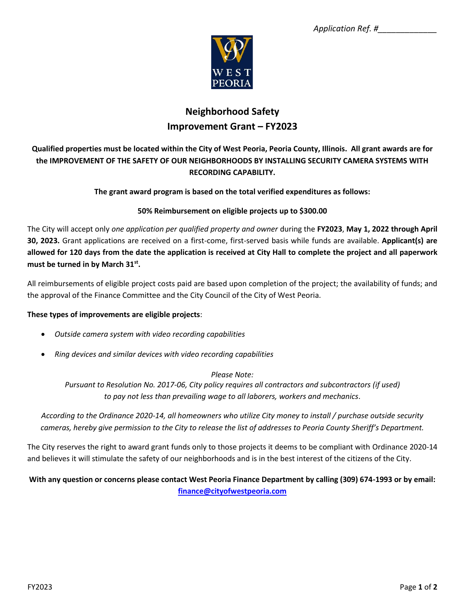

# **Neighborhood Safety Improvement Grant – FY2023**

## **Qualified properties must be located within the City of West Peoria, Peoria County, Illinois. All grant awards are for the IMPROVEMENT OF THE SAFETY OF OUR NEIGHBORHOODS BY INSTALLING SECURITY CAMERA SYSTEMS WITH RECORDING CAPABILITY.**

#### **The grant award program is based on the total verified expenditures as follows:**

#### **50% Reimbursement on eligible projects up to \$300.00**

The City will accept only *one application per qualified property and owner* during the **FY2023**, **May 1, 2022 through April 30, 2023.** Grant applications are received on a first-come, first-served basis while funds are available. **Applicant(s) are allowed for 120 days from the date the application is received at City Hall to complete the project and all paperwork must be turned in by March 31st .**

All reimbursements of eligible project costs paid are based upon completion of the project; the availability of funds; and the approval of the Finance Committee and the City Council of the City of West Peoria.

#### **These types of improvements are eligible projects**:

- *Outside camera system with video recording capabilities*
- *Ring devices and similar devices with video recording capabilities*

#### *Please Note:*

*Pursuant to Resolution No. 2017-06, City policy requires all contractors and subcontractors (if used) to pay not less than prevailing wage to all laborers, workers and mechanics*.

*According to the Ordinance 2020-14, all homeowners who utilize City money to install / purchase outside security cameras, hereby give permission to the City to release the list of addresses to Peoria County Sheriff's Department.*

The City reserves the right to award grant funds only to those projects it deems to be compliant with Ordinance 2020-14 and believes it will stimulate the safety of our neighborhoods and is in the best interest of the citizens of the City.

### **With any question or concerns please contact West Peoria Finance Department by calling (309) 674-1993 or by email: [finance@cityofwestpeoria.com](mailto:finance@cityofwestpeoria.com)**